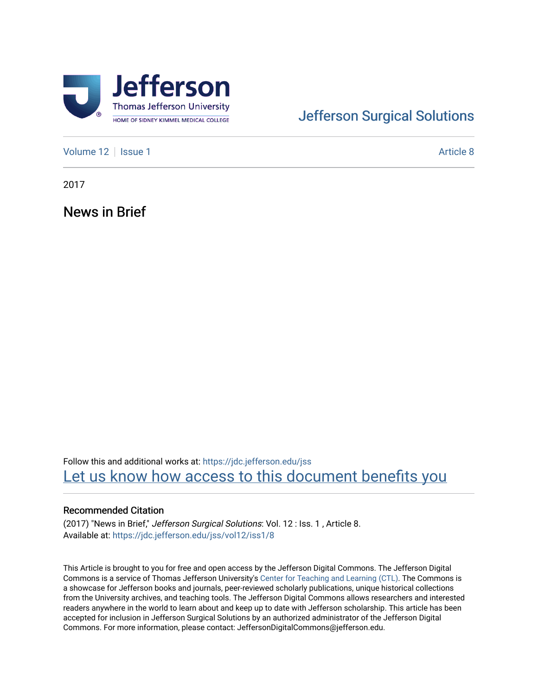

# [Jefferson Surgical Solutions](https://jdc.jefferson.edu/jss)

[Volume 12](https://jdc.jefferson.edu/jss/vol12) | [Issue 1](https://jdc.jefferson.edu/jss/vol12/iss1) Article 8

2017

News in Brief

Follow this and additional works at: [https://jdc.jefferson.edu/jss](https://jdc.jefferson.edu/jss?utm_source=jdc.jefferson.edu%2Fjss%2Fvol12%2Fiss1%2F8&utm_medium=PDF&utm_campaign=PDFCoverPages)  Let us know how access to this document benefits you

## Recommended Citation

(2017) "News in Brief," Jefferson Surgical Solutions: Vol. 12 : Iss. 1 , Article 8. Available at: [https://jdc.jefferson.edu/jss/vol12/iss1/8](https://jdc.jefferson.edu/jss/vol12/iss1/8?utm_source=jdc.jefferson.edu%2Fjss%2Fvol12%2Fiss1%2F8&utm_medium=PDF&utm_campaign=PDFCoverPages)

This Article is brought to you for free and open access by the Jefferson Digital Commons. The Jefferson Digital Commons is a service of Thomas Jefferson University's [Center for Teaching and Learning \(CTL\)](http://www.jefferson.edu/university/teaching-learning.html/). The Commons is a showcase for Jefferson books and journals, peer-reviewed scholarly publications, unique historical collections from the University archives, and teaching tools. The Jefferson Digital Commons allows researchers and interested readers anywhere in the world to learn about and keep up to date with Jefferson scholarship. This article has been accepted for inclusion in Jefferson Surgical Solutions by an authorized administrator of the Jefferson Digital Commons. For more information, please contact: JeffersonDigitalCommons@jefferson.edu.